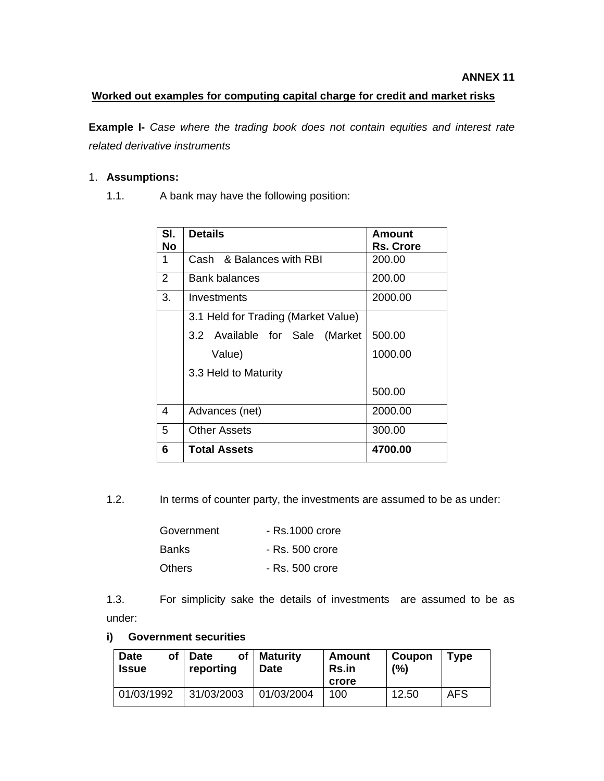### **Worked out examples for computing capital charge for credit and market risks**

**Example I-** *Case where the trading book does not contain equities and interest rate related derivative instruments* 

### 1. **Assumptions:**

1.1. A bank may have the following position:

| SI.<br>No | <b>Details</b>                      | <b>Amount</b><br><b>Rs. Crore</b> |
|-----------|-------------------------------------|-----------------------------------|
| 1         | Cash & Balances with RBI            | 200.00                            |
|           |                                     |                                   |
| 2         | Bank balances                       | 200.00                            |
| 3.        | Investments                         | 2000.00                           |
|           | 3.1 Held for Trading (Market Value) |                                   |
|           | 3.2 Available for Sale (Market      | 500.00                            |
|           | Value)                              | 1000.00                           |
|           | 3.3 Held to Maturity                |                                   |
|           |                                     | 500.00                            |
| 4         | Advances (net)                      | 2000.00                           |
| 5         | <b>Other Assets</b>                 | 300.00                            |
| 6         | Total Assets                        | 4700.00                           |

1.2. In terms of counter party, the investments are assumed to be as under:

| Government    | - Rs.1000 crore |
|---------------|-----------------|
| <b>Banks</b>  | - Rs. 500 crore |
| <b>Others</b> | - Rs. 500 crore |

1.3. For simplicity sake the details of investments are assumed to be as under:

#### **i) Government securities**

| <b>Date</b><br>of<br>Issue | <b>of</b><br><b>Date</b><br>reporting | <b>Maturity</b><br><b>Date</b> | Amount<br><b>Rs.in</b><br>crore | Coupon<br>(%) | <b>Type</b> |
|----------------------------|---------------------------------------|--------------------------------|---------------------------------|---------------|-------------|
| 01/03/1992                 | 31/03/2003                            | 01/03/2004                     | 100                             | 12.50         | <b>AFS</b>  |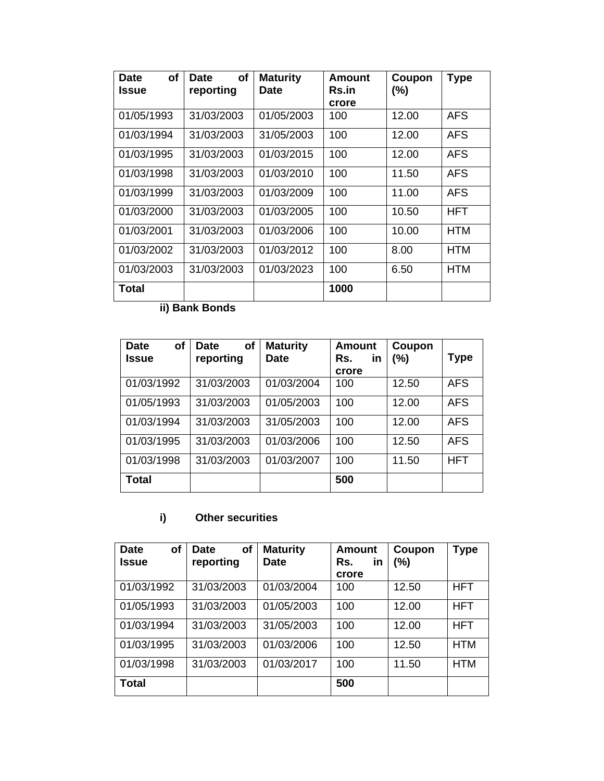| Οf<br>Date<br>Issue | Οf<br>Date<br>reporting | <b>Maturity</b><br>Date | Amount<br><b>Rs.in</b><br>crore | Coupon<br>$(\% )$ | <b>Type</b> |
|---------------------|-------------------------|-------------------------|---------------------------------|-------------------|-------------|
| 01/05/1993          | 31/03/2003              | 01/05/2003              | 100                             | 12.00             | <b>AFS</b>  |
| 01/03/1994          | 31/03/2003              | 31/05/2003              | 100                             | 12.00             | <b>AFS</b>  |
| 01/03/1995          | 31/03/2003              | 01/03/2015              | 100                             | 12.00             | <b>AFS</b>  |
| 01/03/1998          | 31/03/2003              | 01/03/2010              | 100                             | 11.50             | <b>AFS</b>  |
| 01/03/1999          | 31/03/2003              | 01/03/2009              | 100                             | 11.00             | <b>AFS</b>  |
| 01/03/2000          | 31/03/2003              | 01/03/2005              | 100                             | 10.50             | <b>HFT</b>  |
| 01/03/2001          | 31/03/2003              | 01/03/2006              | 100                             | 10.00             | <b>HTM</b>  |
| 01/03/2002          | 31/03/2003              | 01/03/2012              | 100                             | 8.00              | <b>HTM</b>  |
| 01/03/2003          | 31/03/2003              | 01/03/2023              | 100                             | 6.50              | <b>HTM</b>  |
| Total               |                         |                         | 1000                            |                   |             |

**ii) Bank Bonds** 

| of<br><b>Date</b><br><b>Issue</b> | of<br><b>Date</b><br>reporting | <b>Maturity</b><br><b>Date</b> | <b>Amount</b><br>Rs.<br>in<br>crore | Coupon<br>(%) | <b>Type</b> |
|-----------------------------------|--------------------------------|--------------------------------|-------------------------------------|---------------|-------------|
| 01/03/1992                        | 31/03/2003                     | 01/03/2004                     | 100                                 | 12.50         | <b>AFS</b>  |
| 01/05/1993                        | 31/03/2003                     | 01/05/2003                     | 100                                 | 12.00         | <b>AFS</b>  |
| 01/03/1994                        | 31/03/2003                     | 31/05/2003                     | 100                                 | 12.00         | <b>AFS</b>  |
| 01/03/1995                        | 31/03/2003                     | 01/03/2006                     | 100                                 | 12.50         | <b>AFS</b>  |
| 01/03/1998                        | 31/03/2003                     | 01/03/2007                     | 100                                 | 11.50         | <b>HFT</b>  |
| <b>Total</b>                      |                                |                                | 500                                 |               |             |

# **i) Other securities**

| <b>Date</b><br>of<br><b>Issue</b> | <b>of</b><br><b>Date</b><br>reporting | <b>Maturity</b><br><b>Date</b> | Amount<br>in<br>Rs. | Coupon<br>(%) | Type       |
|-----------------------------------|---------------------------------------|--------------------------------|---------------------|---------------|------------|
|                                   |                                       |                                | crore               |               |            |
| 01/03/1992                        | 31/03/2003                            | 01/03/2004                     | 100                 | 12.50         | <b>HFT</b> |
| 01/05/1993                        | 31/03/2003                            | 01/05/2003                     | 100                 | 12.00         | <b>HFT</b> |
| 01/03/1994                        | 31/03/2003                            | 31/05/2003                     | 100                 | 12.00         | <b>HFT</b> |
| 01/03/1995                        | 31/03/2003                            | 01/03/2006                     | 100                 | 12.50         | <b>HTM</b> |
| 01/03/1998                        | 31/03/2003                            | 01/03/2017                     | 100                 | 11.50         | <b>HTM</b> |
| <b>Total</b>                      |                                       |                                | 500                 |               |            |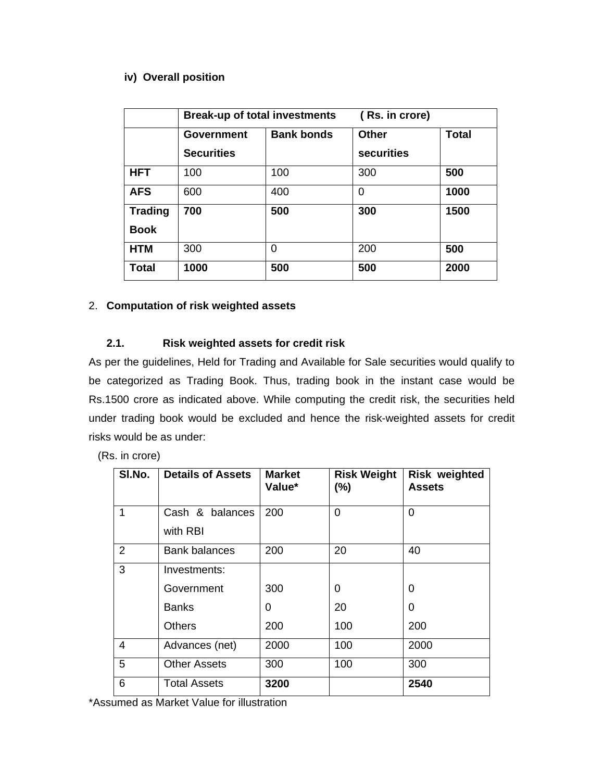#### **iv) Overall position**

|                | <b>Break-up of total investments</b> |                   | (Rs. in crore) |              |
|----------------|--------------------------------------|-------------------|----------------|--------------|
|                | Government                           | <b>Bank bonds</b> | <b>Other</b>   | <b>Total</b> |
|                | <b>Securities</b>                    |                   | securities     |              |
| <b>HFT</b>     | 100                                  | 100               | 300            | 500          |
| <b>AFS</b>     | 600                                  | 400               | 0              | 1000         |
| <b>Trading</b> | 700                                  | 500               | 300            | 1500         |
| <b>Book</b>    |                                      |                   |                |              |
| <b>HTM</b>     | 300                                  | 0                 | 200            | 500          |
| <b>Total</b>   | 1000                                 | 500               | 500            | 2000         |

### 2. **Computation of risk weighted assets**

## **2.1. Risk weighted assets for credit risk**

As per the guidelines, Held for Trading and Available for Sale securities would qualify to be categorized as Trading Book. Thus, trading book in the instant case would be Rs.1500 crore as indicated above. While computing the credit risk, the securities held under trading book would be excluded and hence the risk-weighted assets for credit risks would be as under:

(Rs. in crore)

| SI.No.         | <b>Details of Assets</b> | <b>Market</b><br>Value* | <b>Risk Weight</b><br>(%) | <b>Risk weighted</b><br><b>Assets</b> |
|----------------|--------------------------|-------------------------|---------------------------|---------------------------------------|
| 1              | Cash & balances          | 200                     | $\Omega$                  | 0                                     |
|                | with RBI                 |                         |                           |                                       |
| $\overline{2}$ | <b>Bank balances</b>     | 200                     | 20                        | 40                                    |
| 3              | Investments:             |                         |                           |                                       |
|                | Government               | 300                     | 0                         | 0                                     |
|                | <b>Banks</b>             | 0                       | 20                        | 0                                     |
|                | Others                   | 200                     | 100                       | 200                                   |
| 4              | Advances (net)           | 2000                    | 100                       | 2000                                  |
| 5              | <b>Other Assets</b>      | 300                     | 100                       | 300                                   |
| 6              | Total Assets             | 3200                    |                           | 2540                                  |

\*Assumed as Market Value for illustration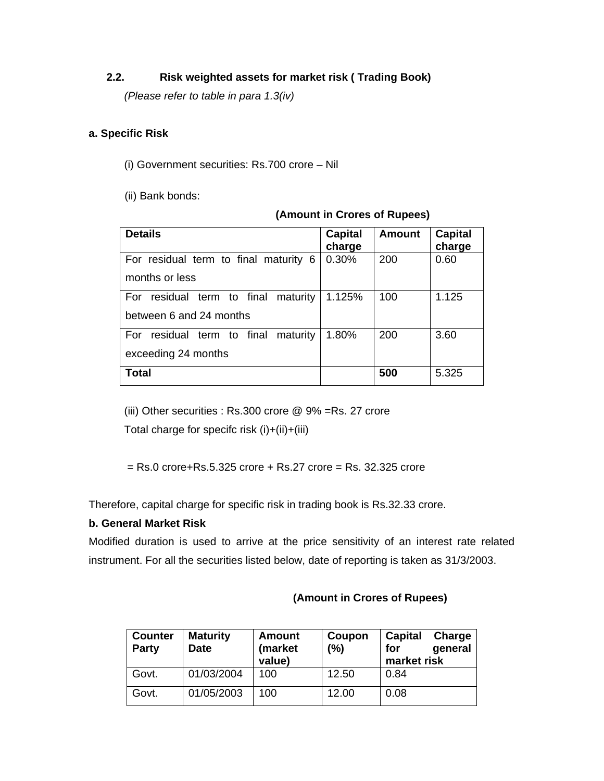## **2.2. Risk weighted assets for market risk ( Trading Book)**

*(Please refer to table in para 1.3(iv)* 

### **a. Specific Risk**

(i) Government securities: Rs.700 crore – Nil

(ii) Bank bonds:

| <b>Details</b>                         | <b>Capital</b><br>charge | Amount | <b>Capital</b><br>charge |
|----------------------------------------|--------------------------|--------|--------------------------|
| For residual term to final maturity 6  | 0.30%                    | 200    | 0.60                     |
| months or less                         |                          |        |                          |
| residual term to final maturity<br>For | 1.125%                   | 100    | 1.125                    |
| between 6 and 24 months                |                          |        |                          |
| residual term to final maturity<br>For | 1.80%                    | 200    | 3.60                     |
| exceeding 24 months                    |                          |        |                          |
| <b>Total</b>                           |                          | 500    | 5.325                    |

#### **(Amount in Crores of Rupees)**

(iii) Other securities : Rs.300 crore @ 9% =Rs. 27 crore Total charge for specifc risk (i)+(ii)+(iii)

 $=$  Rs.0 crore+Rs.5.325 crore + Rs.27 crore  $=$  Rs. 32.325 crore

Therefore, capital charge for specific risk in trading book is Rs.32.33 crore.

## **b. General Market Risk**

Modified duration is used to arrive at the price sensitivity of an interest rate related instrument. For all the securities listed below, date of reporting is taken as 31/3/2003.

| <b>Counter</b><br><b>Party</b> | <b>Maturity</b><br><b>Date</b> | <b>Amount</b><br>(market<br>value) | Coupon<br>(%) | Capital<br>Charge<br>for<br>general<br>market risk |
|--------------------------------|--------------------------------|------------------------------------|---------------|----------------------------------------------------|
| Govt.                          | 01/03/2004                     | 100                                | 12.50         | 0.84                                               |
| Govt.                          | 01/05/2003                     | 100                                | 12.00         | 0.08                                               |

#### **(Amount in Crores of Rupees)**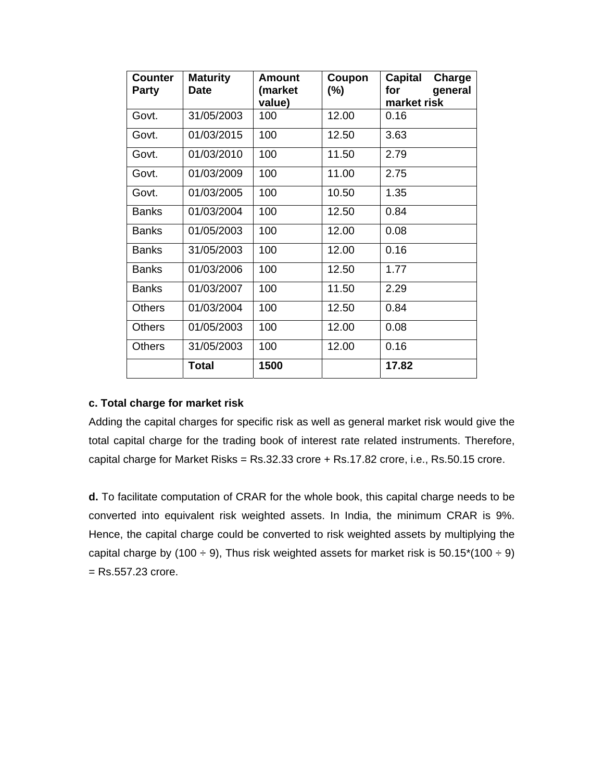| <b>Counter</b><br><b>Party</b> | <b>Maturity</b><br><b>Date</b> | Amount<br>(market | Coupon<br>$(\% )$ | Capital<br>Charge<br>general<br>for |
|--------------------------------|--------------------------------|-------------------|-------------------|-------------------------------------|
|                                |                                | value)            |                   | market risk                         |
| Govt.                          | 31/05/2003                     | 100               | 12.00             | 0.16                                |
| Govt.                          | 01/03/2015                     | 100               | 12.50             | 3.63                                |
| Govt.                          | 01/03/2010                     | 100               | 11.50             | 2.79                                |
| Govt.                          | 01/03/2009                     | 100               | 11.00             | 2.75                                |
| Govt.                          | 01/03/2005                     | 100               | 10.50             | 1.35                                |
| <b>Banks</b>                   | 01/03/2004                     | 100               | 12.50             | 0.84                                |
| <b>Banks</b>                   | 01/05/2003                     | 100               | 12.00             | 0.08                                |
| <b>Banks</b>                   | 31/05/2003                     | 100               | 12.00             | 0.16                                |
| <b>Banks</b>                   | 01/03/2006                     | 100               | 12.50             | 1.77                                |
| <b>Banks</b>                   | 01/03/2007                     | 100               | 11.50             | 2.29                                |
| <b>Others</b>                  | 01/03/2004                     | 100               | 12.50             | 0.84                                |
| <b>Others</b>                  | 01/05/2003                     | 100               | 12.00             | 0.08                                |
| <b>Others</b>                  | 31/05/2003                     | 100               | 12.00             | 0.16                                |
|                                | <b>Total</b>                   | 1500              |                   | 17.82                               |

#### **c. Total charge for market risk**

Adding the capital charges for specific risk as well as general market risk would give the total capital charge for the trading book of interest rate related instruments. Therefore, capital charge for Market Risks = Rs.32.33 crore + Rs.17.82 crore, i.e., Rs.50.15 crore.

**d.** To facilitate computation of CRAR for the whole book, this capital charge needs to be converted into equivalent risk weighted assets. In India, the minimum CRAR is 9%. Hence, the capital charge could be converted to risk weighted assets by multiplying the capital charge by (100  $\div$  9), Thus risk weighted assets for market risk is 50.15\*(100  $\div$  9)  $=$  Rs.557.23 crore.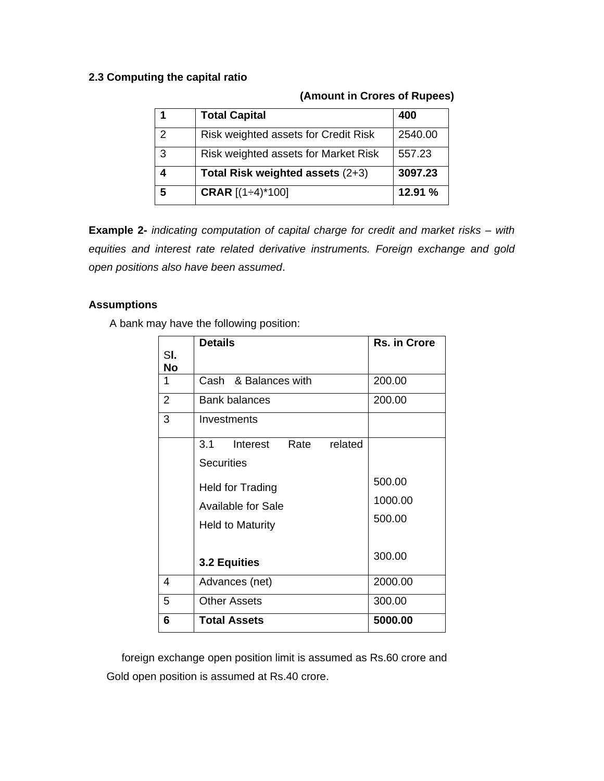#### **2.3 Computing the capital ratio**

### **(Amount in Crores of Rupees)**

| 1             | <b>Total Capital</b>                 | 400     |
|---------------|--------------------------------------|---------|
| $\mathcal{P}$ | Risk weighted assets for Credit Risk | 2540.00 |
| 3             | Risk weighted assets for Market Risk | 557.23  |
|               | Total Risk weighted assets (2+3)     | 3097.23 |
| 5             | <b>CRAR</b> $[(1 \div 4)^*100]$      | 12.91%  |

**Example 2-** *indicating computation of capital charge for credit and market risks – with equities and interest rate related derivative instruments. Foreign exchange and gold open positions also have been assumed*.

#### **Assumptions**

A bank may have the following position:

|                | <b>Details</b>                     | <b>Rs. in Crore</b> |
|----------------|------------------------------------|---------------------|
| SI.<br>No      |                                    |                     |
| 1              | Cash & Balances with               | 200.00              |
| $\overline{2}$ | <b>Bank balances</b>               | 200.00              |
| 3              | Investments                        |                     |
|                | 3.1<br>Rate<br>related<br>Interest |                     |
|                | <b>Securities</b>                  |                     |
|                | <b>Held for Trading</b>            | 500.00              |
|                | <b>Available for Sale</b>          | 1000.00             |
|                | <b>Held to Maturity</b>            | 500.00              |
|                |                                    |                     |
|                | 3.2 Equities                       | 300.00              |
| 4              | Advances (net)                     | 2000.00             |
| 5              | Other Assets                       | 300.00              |
| 6              | <b>Total Assets</b>                | 5000.00             |

 foreign exchange open position limit is assumed as Rs.60 crore and Gold open position is assumed at Rs.40 crore.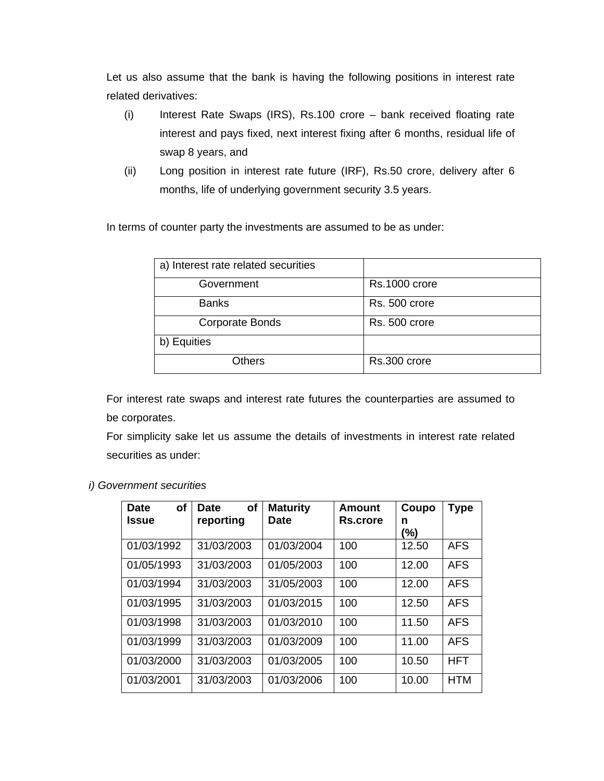Let us also assume that the bank is having the following positions in interest rate related derivatives:

- (i) Interest Rate Swaps (IRS), Rs.100 crore bank received floating rate interest and pays fixed, next interest fixing after 6 months, residual life of swap 8 years, and
- (ii) Long position in interest rate future (IRF), Rs.50 crore, delivery after 6 months, life of underlying government security 3.5 years.

In terms of counter party the investments are assumed to be as under:

| a) Interest rate related securities |               |
|-------------------------------------|---------------|
| Government                          | Rs.1000 crore |
| <b>Banks</b>                        | Rs. 500 crore |
| <b>Corporate Bonds</b>              | Rs. 500 crore |
| b) Equities                         |               |
| Others                              | Rs.300 crore  |

For interest rate swaps and interest rate futures the counterparties are assumed to be corporates.

For simplicity sake let us assume the details of investments in interest rate related securities as under:

| of<br><b>Date</b><br><b>Issue</b> | <b>of</b><br><b>Date</b><br>reporting | <b>Maturity</b><br><b>Date</b> | Amount<br>Rs.crore | Coupo<br>n<br>(%) | <b>Type</b> |
|-----------------------------------|---------------------------------------|--------------------------------|--------------------|-------------------|-------------|
| 01/03/1992                        | 31/03/2003                            | 01/03/2004                     | 100                | 12.50             | <b>AFS</b>  |
| 01/05/1993                        | 31/03/2003                            | 01/05/2003                     | 100                | 12.00             | <b>AFS</b>  |
| 01/03/1994                        | 31/03/2003                            | 31/05/2003                     | 100                | 12.00             | <b>AFS</b>  |
| 01/03/1995                        | 31/03/2003                            | 01/03/2015                     | 100                | 12.50             | <b>AFS</b>  |
| 01/03/1998                        | 31/03/2003                            | 01/03/2010                     | 100                | 11.50             | <b>AFS</b>  |
| 01/03/1999                        | 31/03/2003                            | 01/03/2009                     | 100                | 11.00             | <b>AFS</b>  |
| 01/03/2000                        | 31/03/2003                            | 01/03/2005                     | 100                | 10.50             | <b>HFT</b>  |
| 01/03/2001                        | 31/03/2003                            | 01/03/2006                     | 100                | 10.00             | <b>HTM</b>  |

#### *i) Government securities*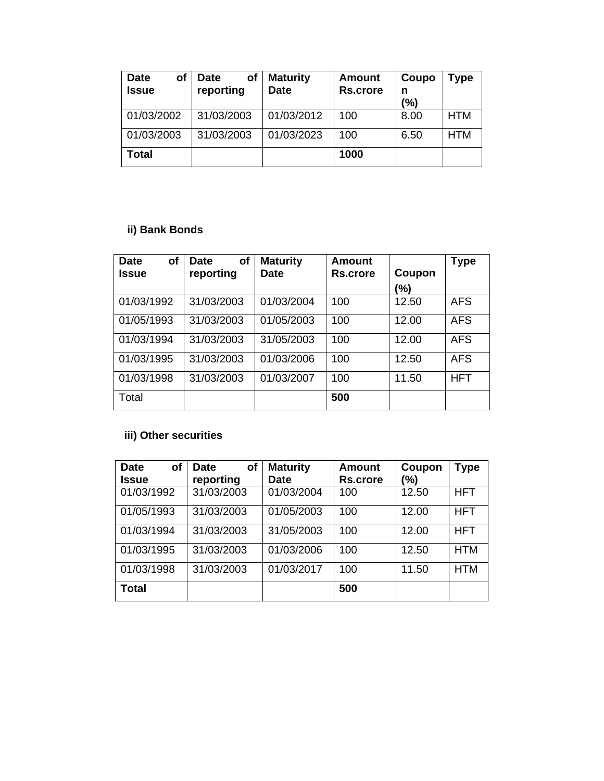| <b>Date</b><br>of<br><b>Issue</b> | оf<br><b>Date</b><br>reporting | <b>Maturity</b><br><b>Date</b> | Amount<br><b>Rs.crore</b> | Coupo<br>n<br>$\frac{10}{6}$ | Type |
|-----------------------------------|--------------------------------|--------------------------------|---------------------------|------------------------------|------|
| 01/03/2002                        | 31/03/2003                     | 01/03/2012                     | 100                       | 8.00                         | HTM  |
| 01/03/2003                        | 31/03/2003                     | 01/03/2023                     | 100                       | 6.50                         | HTM  |
| Total                             |                                |                                | 1000                      |                              |      |

## **ii) Bank Bonds**

| <b>of</b><br><b>Date</b><br><b>Issue</b> | οf<br><b>Date</b><br>reporting | <b>Maturity</b><br><b>Date</b> | <b>Amount</b><br>Rs.crore | Coupon | <b>Type</b> |
|------------------------------------------|--------------------------------|--------------------------------|---------------------------|--------|-------------|
|                                          |                                |                                |                           | (%)    |             |
| 01/03/1992                               | 31/03/2003                     | 01/03/2004                     | 100                       | 12.50  | <b>AFS</b>  |
| 01/05/1993                               | 31/03/2003                     | 01/05/2003                     | 100                       | 12.00  | <b>AFS</b>  |
| 01/03/1994                               | 31/03/2003                     | 31/05/2003                     | 100                       | 12.00  | <b>AFS</b>  |
| 01/03/1995                               | 31/03/2003                     | 01/03/2006                     | 100                       | 12.50  | <b>AFS</b>  |
| 01/03/1998                               | 31/03/2003                     | 01/03/2007                     | 100                       | 11.50  | <b>HFT</b>  |
| Total                                    |                                |                                | 500                       |        |             |

# **iii) Other securities**

| of<br><b>Date</b><br><b>Issue</b> | of<br><b>Date</b><br>reporting | <b>Maturity</b><br><b>Date</b> | <b>Amount</b><br><b>Rs.crore</b> | Coupon<br>(%) | <b>Type</b> |
|-----------------------------------|--------------------------------|--------------------------------|----------------------------------|---------------|-------------|
| 01/03/1992                        | 31/03/2003                     | 01/03/2004                     | 100                              | 12.50         | <b>HFT</b>  |
| 01/05/1993                        | 31/03/2003                     | 01/05/2003                     | 100                              | 12.00         | <b>HFT</b>  |
| 01/03/1994                        | 31/03/2003                     | 31/05/2003                     | 100                              | 12.00         | <b>HFT</b>  |
| 01/03/1995                        | 31/03/2003                     | 01/03/2006                     | 100                              | 12.50         | <b>HTM</b>  |
| 01/03/1998                        | 31/03/2003                     | 01/03/2017                     | 100                              | 11.50         | <b>HTM</b>  |
| <b>Total</b>                      |                                |                                | 500                              |               |             |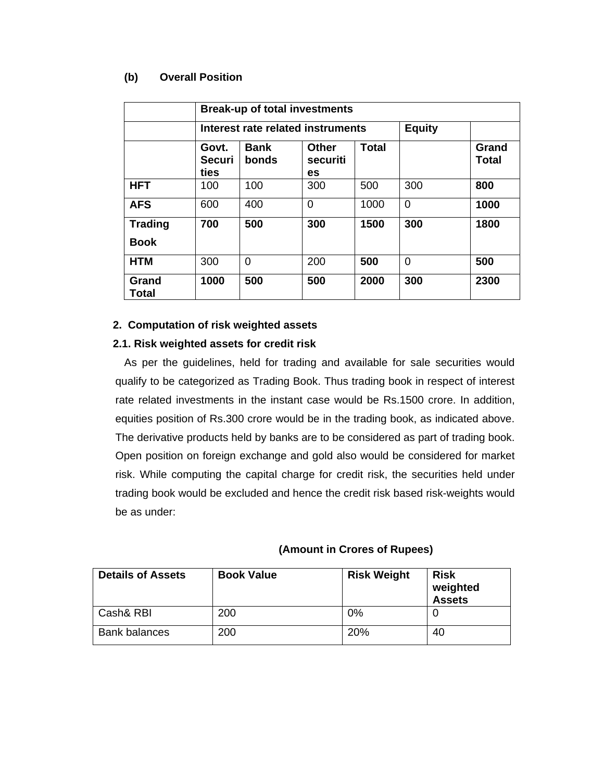#### **(b) Overall Position**

|                               | <b>Break-up of total investments</b> |                                   |                                |              |               |                |
|-------------------------------|--------------------------------------|-----------------------------------|--------------------------------|--------------|---------------|----------------|
|                               |                                      | Interest rate related instruments |                                |              | <b>Equity</b> |                |
|                               | Govt.<br>Securi<br>ties              | <b>Bank</b><br>bonds              | <b>Other</b><br>securiti<br>es | <b>Total</b> |               | Grand<br>Total |
| <b>HFT</b>                    | 100                                  | 100                               | 300                            | 500          | 300           | 800            |
| <b>AFS</b>                    | 600                                  | 400                               | $\Omega$                       | 1000         | 0             | 1000           |
| <b>Trading</b><br><b>Book</b> | 700                                  | 500                               | 300                            | 1500         | 300           | 1800           |
| <b>HTM</b>                    | 300                                  | 0                                 | 200                            | 500          | 0             | 500            |
| Grand<br>Total                | 1000                                 | 500                               | 500                            | 2000         | 300           | 2300           |

### **2. Computation of risk weighted assets**

### **2.1. Risk weighted assets for credit risk**

As per the guidelines, held for trading and available for sale securities would qualify to be categorized as Trading Book. Thus trading book in respect of interest rate related investments in the instant case would be Rs.1500 crore. In addition, equities position of Rs.300 crore would be in the trading book, as indicated above. The derivative products held by banks are to be considered as part of trading book. Open position on foreign exchange and gold also would be considered for market risk. While computing the capital charge for credit risk, the securities held under trading book would be excluded and hence the credit risk based risk-weights would be as under:

#### **(Amount in Crores of Rupees)**

| <b>Details of Assets</b> | <b>Book Value</b> | <b>Risk Weight</b> | <b>Risk</b><br>weighted<br><b>Assets</b> |
|--------------------------|-------------------|--------------------|------------------------------------------|
| Cash& RBI                | 200               | 0%                 |                                          |
| <b>Bank balances</b>     | 200               | 20%                | 40                                       |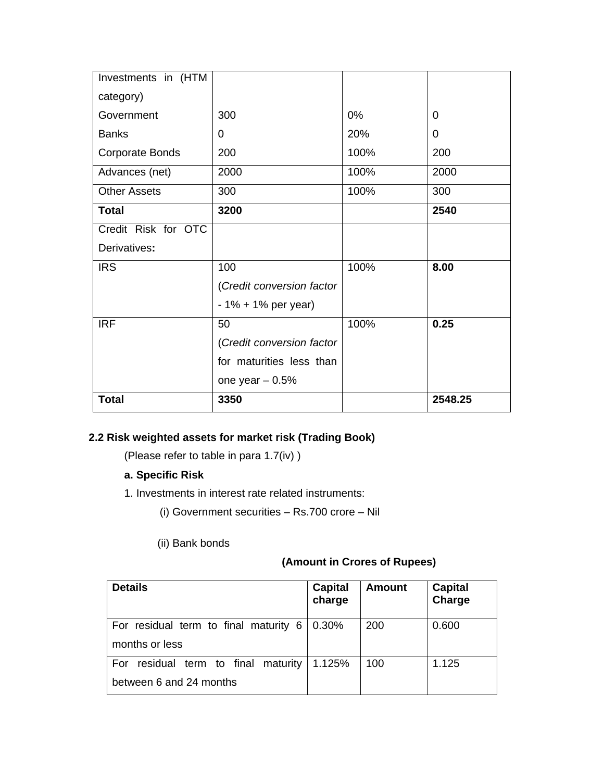| Investments in (HTM |                           |      |         |
|---------------------|---------------------------|------|---------|
| category)           |                           |      |         |
| Government          | 300                       | 0%   | 0       |
| <b>Banks</b>        | 0                         | 20%  | 0       |
| Corporate Bonds     | 200                       | 100% | 200     |
| Advances (net)      | 2000                      | 100% | 2000    |
| <b>Other Assets</b> | 300                       | 100% | 300     |
| <b>Total</b>        | 3200                      |      | 2540    |
| Credit Risk for OTC |                           |      |         |
| Derivatives:        |                           |      |         |
| <b>IRS</b>          | 100                       | 100% | 8.00    |
|                     | (Credit conversion factor |      |         |
|                     | $-1\% + 1\%$ per year)    |      |         |
| <b>IRF</b>          | 50                        | 100% | 0.25    |
|                     | (Credit conversion factor |      |         |
|                     | for maturities less than  |      |         |
|                     | one year $-0.5%$          |      |         |
| <b>Total</b>        | 3350                      |      | 2548.25 |

# **2.2 Risk weighted assets for market risk (Trading Book)**

(Please refer to table in para 1.7(iv) )

## **a. Specific Risk**

- 1. Investments in interest rate related instruments:
	- (i) Government securities Rs.700 crore Nil
	- (ii) Bank bonds

## **(Amount in Crores of Rupees)**

| <b>Details</b>                                                    | <b>Capital</b><br>charge | <b>Amount</b> | <b>Capital</b><br>Charge |
|-------------------------------------------------------------------|--------------------------|---------------|--------------------------|
| For residual term to final maturity 6<br>months or less           | 0.30%                    | 200           | 0.600                    |
| residual term to final maturity<br>For<br>between 6 and 24 months | 1.125%                   | 100           | 1.125                    |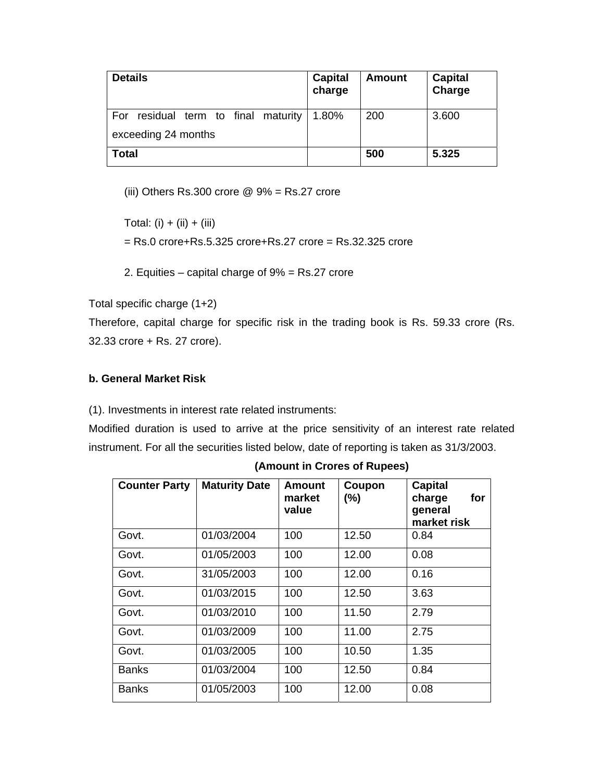| <b>Details</b>                         | <b>Capital</b><br>charge | <b>Amount</b> | <b>Capital</b><br>Charge |
|----------------------------------------|--------------------------|---------------|--------------------------|
| residual term to final maturity<br>For | 1.80%                    | 200           | 3.600                    |
| exceeding 24 months                    |                          |               |                          |
| <b>Total</b>                           |                          | 500           | 5.325                    |

(iii) Others Rs.300 crore  $@9\% = \text{Rs.27}$  crore

Total: (i) + (ii) + (iii)

- = Rs.0 crore+Rs.5.325 crore+Rs.27 crore = Rs.32.325 crore
- 2. Equities capital charge of 9% = Rs.27 crore

Total specific charge (1+2)

Therefore, capital charge for specific risk in the trading book is Rs. 59.33 crore (Rs. 32.33 crore + Rs. 27 crore).

### **b. General Market Risk**

(1). Investments in interest rate related instruments:

Modified duration is used to arrive at the price sensitivity of an interest rate related instrument. For all the securities listed below, date of reporting is taken as 31/3/2003.

| <b>Counter Party</b> | <b>Maturity Date</b> | Amount<br>market<br>value | Coupon<br>$(\% )$ | <b>Capital</b><br>for<br>charge<br>general<br>market risk |
|----------------------|----------------------|---------------------------|-------------------|-----------------------------------------------------------|
| Govt.                | 01/03/2004           | 100                       | 12.50             | 0.84                                                      |
| Govt.                | 01/05/2003           | 100                       | 12.00             | 0.08                                                      |
| Govt.                | 31/05/2003           | 100                       | 12.00             | 0.16                                                      |
| Govt.                | 01/03/2015           | 100                       | 12.50             | 3.63                                                      |
| Govt.                | 01/03/2010           | 100                       | 11.50             | 2.79                                                      |
| Govt.                | 01/03/2009           | 100                       | 11.00             | 2.75                                                      |
| Govt.                | 01/03/2005           | 100                       | 10.50             | 1.35                                                      |
| <b>Banks</b>         | 01/03/2004           | 100                       | 12.50             | 0.84                                                      |
| <b>Banks</b>         | 01/05/2003           | 100                       | 12.00             | 0.08                                                      |

 **(Amount in Crores of Rupees)**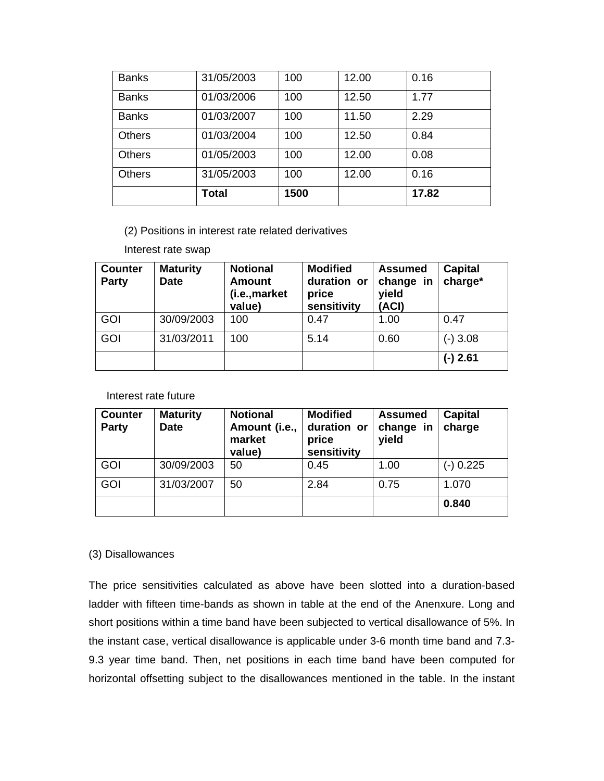| <b>Banks</b>  | 31/05/2003 | 100  | 12.00 | 0.16  |
|---------------|------------|------|-------|-------|
| <b>Banks</b>  | 01/03/2006 | 100  | 12.50 | 1.77  |
| <b>Banks</b>  | 01/03/2007 | 100  | 11.50 | 2.29  |
| <b>Others</b> | 01/03/2004 | 100  | 12.50 | 0.84  |
| <b>Others</b> | 01/05/2003 | 100  | 12.00 | 0.08  |
| <b>Others</b> | 31/05/2003 | 100  | 12.00 | 0.16  |
|               | Total      | 1500 |       | 17.82 |

(2) Positions in interest rate related derivatives

Interest rate swap

| <b>Counter</b><br><b>Party</b> | <b>Maturity</b><br><b>Date</b> | <b>Notional</b><br><b>Amount</b><br>(i.e., market<br>value) | <b>Modified</b><br>duration or<br>price<br>sensitivity | <b>Assumed</b><br>change in<br>yield<br>(ACI) | Capital<br>charge* |
|--------------------------------|--------------------------------|-------------------------------------------------------------|--------------------------------------------------------|-----------------------------------------------|--------------------|
| GOI                            | 30/09/2003                     | 100                                                         | 0.47                                                   | 1.00                                          | 0.47               |
| GOI                            | 31/03/2011                     | 100                                                         | 5.14                                                   | 0.60                                          | $(-)3.08$          |
|                                |                                |                                                             |                                                        |                                               | $(-)$ 2.61         |

Interest rate future

| <b>Counter</b><br><b>Party</b> | <b>Maturity</b><br><b>Date</b> | <b>Notional</b><br>Amount (i.e.,<br>market<br>value) | <b>Modified</b><br>duration or<br>price<br>sensitivity | <b>Assumed</b><br>change in<br>yield | Capital<br>charge |
|--------------------------------|--------------------------------|------------------------------------------------------|--------------------------------------------------------|--------------------------------------|-------------------|
| <b>GOI</b>                     | 30/09/2003                     | 50                                                   | 0.45                                                   | 1.00                                 | $(-)$ 0.225       |
| GOI                            | 31/03/2007                     | 50                                                   | 2.84                                                   | 0.75                                 | 1.070             |
|                                |                                |                                                      |                                                        |                                      | 0.840             |

#### (3) Disallowances

The price sensitivities calculated as above have been slotted into a duration-based ladder with fifteen time-bands as shown in table at the end of the Anenxure. Long and short positions within a time band have been subjected to vertical disallowance of 5%. In the instant case, vertical disallowance is applicable under 3-6 month time band and 7.3- 9.3 year time band. Then, net positions in each time band have been computed for horizontal offsetting subject to the disallowances mentioned in the table. In the instant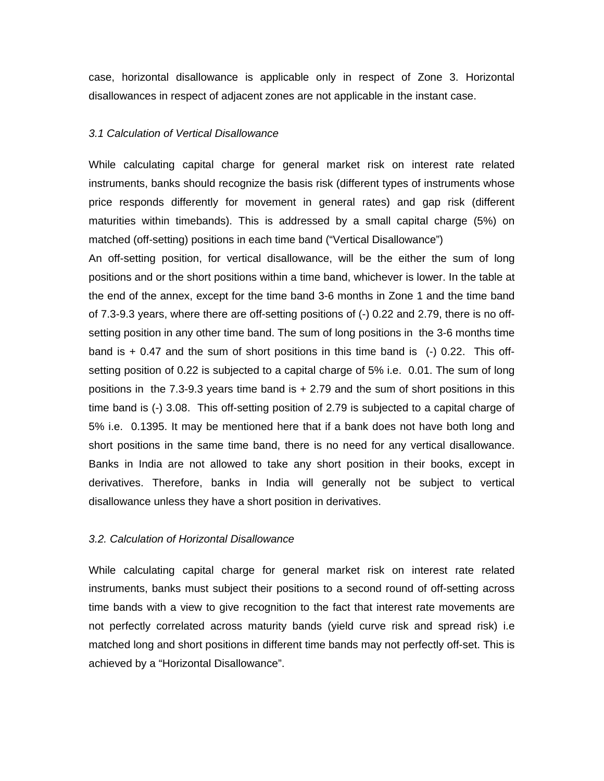case, horizontal disallowance is applicable only in respect of Zone 3. Horizontal disallowances in respect of adjacent zones are not applicable in the instant case.

#### *3.1 Calculation of Vertical Disallowance*

While calculating capital charge for general market risk on interest rate related instruments, banks should recognize the basis risk (different types of instruments whose price responds differently for movement in general rates) and gap risk (different maturities within timebands). This is addressed by a small capital charge (5%) on matched (off-setting) positions in each time band ("Vertical Disallowance")

An off-setting position, for vertical disallowance, will be the either the sum of long positions and or the short positions within a time band, whichever is lower. In the table at the end of the annex, except for the time band 3-6 months in Zone 1 and the time band of 7.3-9.3 years, where there are off-setting positions of (-) 0.22 and 2.79, there is no offsetting position in any other time band. The sum of long positions in the 3-6 months time band is  $+$  0.47 and the sum of short positions in this time band is  $(-)$  0.22. This offsetting position of 0.22 is subjected to a capital charge of 5% i.e. 0.01. The sum of long positions in the 7.3-9.3 years time band is + 2.79 and the sum of short positions in this time band is (-) 3.08. This off-setting position of 2.79 is subjected to a capital charge of 5% i.e. 0.1395. It may be mentioned here that if a bank does not have both long and short positions in the same time band, there is no need for any vertical disallowance. Banks in India are not allowed to take any short position in their books, except in derivatives. Therefore, banks in India will generally not be subject to vertical disallowance unless they have a short position in derivatives.

#### *3.2. Calculation of Horizontal Disallowance*

While calculating capital charge for general market risk on interest rate related instruments, banks must subject their positions to a second round of off-setting across time bands with a view to give recognition to the fact that interest rate movements are not perfectly correlated across maturity bands (yield curve risk and spread risk) i.e matched long and short positions in different time bands may not perfectly off-set. This is achieved by a "Horizontal Disallowance".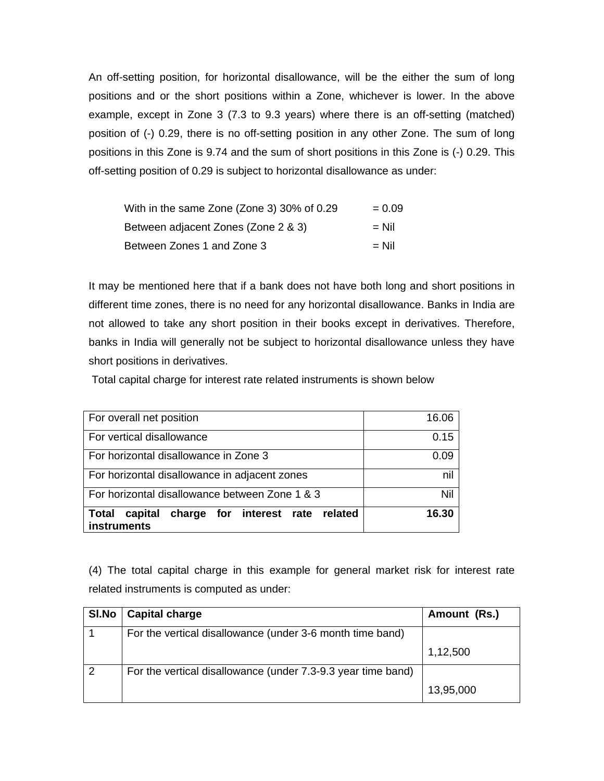An off-setting position, for horizontal disallowance, will be the either the sum of long positions and or the short positions within a Zone, whichever is lower. In the above example, except in Zone 3 (7.3 to 9.3 years) where there is an off-setting (matched) position of (-) 0.29, there is no off-setting position in any other Zone. The sum of long positions in this Zone is 9.74 and the sum of short positions in this Zone is (-) 0.29. This off-setting position of 0.29 is subject to horizontal disallowance as under:

| With in the same Zone (Zone 3) 30% of 0.29 | $= 0.09$ |
|--------------------------------------------|----------|
| Between adjacent Zones (Zone 2 & 3)        | $=$ Nil  |
| Between Zones 1 and Zone 3                 | $=$ Nil  |

It may be mentioned here that if a bank does not have both long and short positions in different time zones, there is no need for any horizontal disallowance. Banks in India are not allowed to take any short position in their books except in derivatives. Therefore, banks in India will generally not be subject to horizontal disallowance unless they have short positions in derivatives.

Total capital charge for interest rate related instruments is shown below

| For overall net position                                                          | 16.06 |
|-----------------------------------------------------------------------------------|-------|
| For vertical disallowance                                                         | 0.15  |
| For horizontal disallowance in Zone 3                                             | 0.09  |
| For horizontal disallowance in adjacent zones                                     | nil   |
| For horizontal disallowance between Zone 1 & 3                                    | Nil   |
| capital<br>charge for interest rate related<br><b>Total</b><br><b>instruments</b> | 16.30 |

(4) The total capital charge in this example for general market risk for interest rate related instruments is computed as under:

| SI.No | <b>Capital charge</b>                                        | Amount (Rs.) |
|-------|--------------------------------------------------------------|--------------|
|       | For the vertical disallowance (under 3-6 month time band)    |              |
|       |                                                              | 1,12,500     |
|       | For the vertical disallowance (under 7.3-9.3 year time band) |              |
|       |                                                              | 13,95,000    |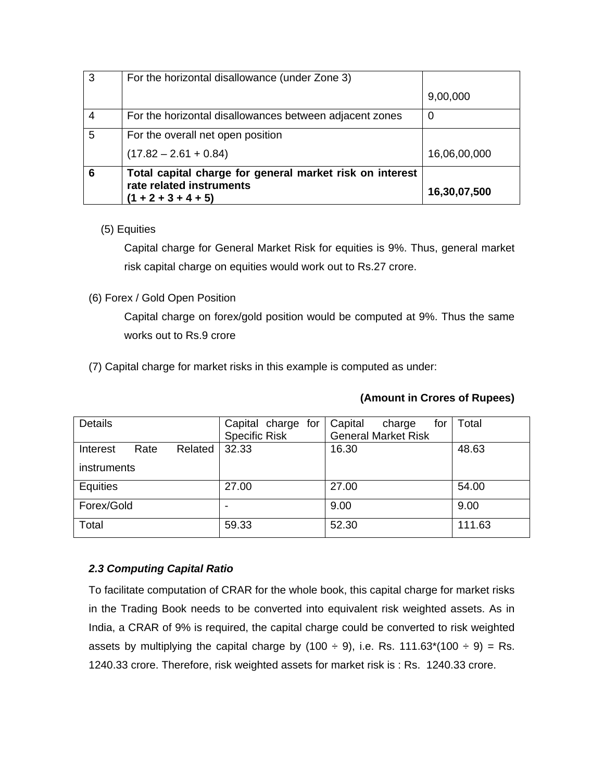| 3 | For the horizontal disallowance (under Zone 3)                                                                |              |
|---|---------------------------------------------------------------------------------------------------------------|--------------|
|   |                                                                                                               | 9,00,000     |
| 4 | For the horizontal disallowances between adjacent zones                                                       | 0            |
| 5 | For the overall net open position                                                                             |              |
|   | $(17.82 - 2.61 + 0.84)$                                                                                       | 16,06,00,000 |
| 6 | Total capital charge for general market risk on interest<br>rate related instruments<br>$(1 + 2 + 3 + 4 + 5)$ | 16,30,07,500 |

### (5) Equities

Capital charge for General Market Risk for equities is 9%. Thus, general market risk capital charge on equities would work out to Rs.27 crore.

### (6) Forex / Gold Open Position

Capital charge on forex/gold position would be computed at 9%. Thus the same works out to Rs.9 crore

(7) Capital charge for market risks in this example is computed as under:

| <b>Details</b> |      |         | Capital charge for<br><b>Specific Risk</b> | Capital | charge<br><b>General Market Risk</b> | for | Total  |
|----------------|------|---------|--------------------------------------------|---------|--------------------------------------|-----|--------|
| Interest       | Rate | Related | 32.33                                      | 16.30   |                                      |     | 48.63  |
| instruments    |      |         |                                            |         |                                      |     |        |
| Equities       |      |         | 27.00                                      | 27.00   |                                      |     | 54.00  |
| Forex/Gold     |      |         |                                            | 9.00    |                                      |     | 9.00   |
| Total          |      |         | 59.33                                      | 52.30   |                                      |     | 111.63 |

## **(Amount in Crores of Rupees)**

## *2.3 Computing Capital Ratio*

To facilitate computation of CRAR for the whole book, this capital charge for market risks in the Trading Book needs to be converted into equivalent risk weighted assets. As in India, a CRAR of 9% is required, the capital charge could be converted to risk weighted assets by multiplying the capital charge by (100  $\div$  9), i.e. Rs. 111.63\*(100  $\div$  9) = Rs. 1240.33 crore. Therefore, risk weighted assets for market risk is : Rs. 1240.33 crore.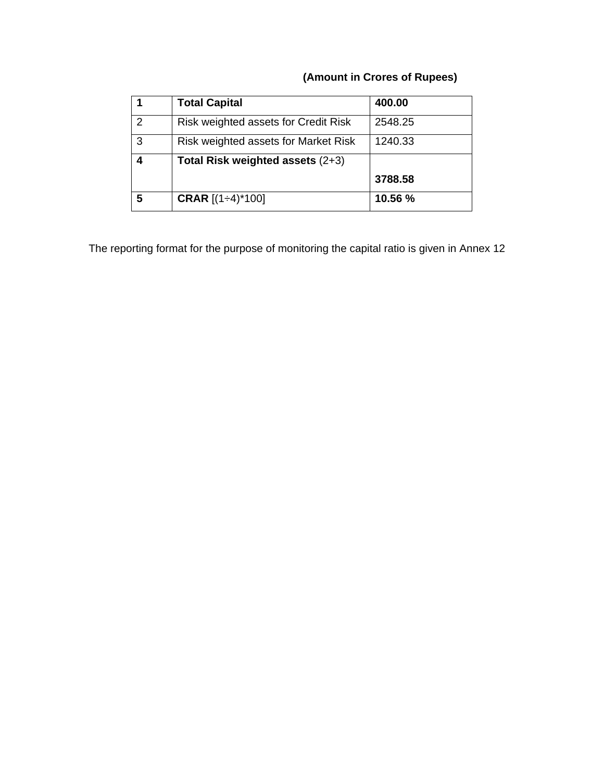# **(Amount in Crores of Rupees)**

|   | <b>Total Capital</b>                 | 400.00  |
|---|--------------------------------------|---------|
| 2 | Risk weighted assets for Credit Risk | 2548.25 |
| 3 | Risk weighted assets for Market Risk | 1240.33 |
|   | Total Risk weighted assets (2+3)     |         |
|   |                                      | 3788.58 |
| 5 | <b>CRAR</b> $[(1 \div 4)^* 100]$     | 10.56 % |

The reporting format for the purpose of monitoring the capital ratio is given in Annex 12